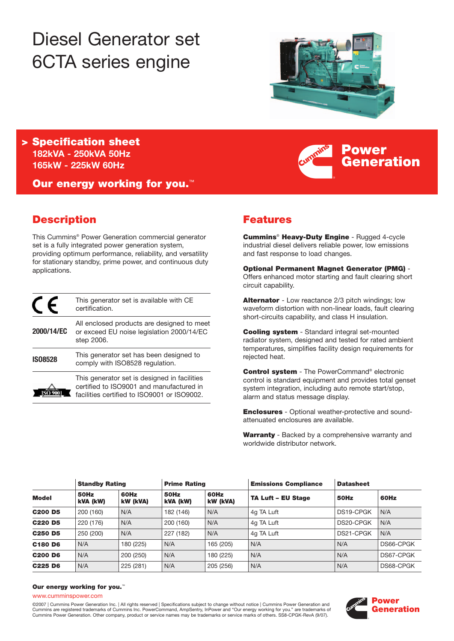# Diesel Generator set 6CTA series engine



**Power**

**Generation**

**> Specification sheet 182kVA - 250kVA 50Hz 165kW - 225kW 60Hz**

**Our energy working for you.**™

# **Description**

This Cummins® Power Generation commercial generator set is a fully integrated power generation system, providing optimum performance, reliability, and versatility for stationary standby, prime power, and continuous duty applications.

|                | This generator set is available with CE<br>certification.                                                                               |
|----------------|-----------------------------------------------------------------------------------------------------------------------------------------|
| 2000/14/EC     | All enclosed products are designed to meet<br>or exceed EU noise legislation 2000/14/EC<br>step 2006.                                   |
| <b>IS08528</b> | This generator set has been designed to<br>comply with ISO8528 regulation.                                                              |
|                | This generator set is designed in facilities<br>certified to ISO9001 and manufactured in<br>facilities certified to ISO9001 or ISO9002. |

# **Features**

**Cummins**® **Heavy-Duty Engine** - Rugged 4-cycle industrial diesel delivers reliable power, low emissions and fast response to load changes.

**Optional Permanent Magnet Generator (PMG)** - Offers enhanced motor starting and fault clearing short circuit capability.

**Alternator** - Low reactance 2/3 pitch windings; low waveform distortion with non-linear loads, fault clearing short-circuits capability, and class H insulation.

**Cooling system** - Standard integral set-mounted radiator system, designed and tested for rated ambient temperatures, simplifies facility design requirements for rejected heat.

**Control system** - The PowerCommand® electronic control is standard equipment and provides total genset system integration, including auto remote start/stop, alarm and status message display.

**Enclosures** - Optional weather-protective and soundattenuated enclosures are available.

**Warranty** - Backed by a comprehensive warranty and worldwide distributor network.

| <b>Model</b>   | <b>Standby Rating</b> |                  | <b>Prime Rating</b> |                  | <b>Emissions Compliance</b> | <b>Datasheet</b> |           |
|----------------|-----------------------|------------------|---------------------|------------------|-----------------------------|------------------|-----------|
|                | 50Hz<br>kVA (kW)      | 60Hz<br>kW (kVA) | 50Hz<br>kVA (kW)    | 60Hz<br>kW (kVA) | <b>TA Luft - EU Stage</b>   | 50Hz             | 60Hz      |
| <b>C200 D5</b> | 200 (160)             | N/A              | 182 (146)           | N/A              | 4g TA Luft                  | DS19-CPGK        | N/A       |
| <b>C220 D5</b> | 220 (176)             | N/A              | 200 (160)           | N/A              | 4g TA Luft                  | DS20-CPGK        | N/A       |
| <b>C250 D5</b> | 250 (200)             | N/A              | 227 (182)           | N/A              | 4g TA Luft                  | DS21-CPGK        | N/A       |
| C180 D6        | N/A                   | 180 (225)        | N/A                 | 165 (205)        | N/A                         | N/A              | DS66-CPGK |
| <b>C200 D6</b> | N/A                   | 200 (250)        | N/A                 | 180 (225)        | N/A                         | N/A              | DS67-CPGK |
| C225 D6        | N/A                   | 225 (281)        | N/A                 | 205 (256)        | N/A                         | N/A              | DS68-CPGK |

#### **Our energy working for you.**™

#### www.cumminspower.com

©2007 | Cummins Power Generation Inc. | All rights reserved | Specifications subject to change without notice | Cummins Power Generation and Cummins are registered trademarks of Cummins Inc. PowerCommand, AmpSentry, InPower and "Our energy working for you." are trademarks of Cummins Power Generation. Other company, product or service names may be trademarks or service marks of others. SS8-CPGK-RevA (9/07).

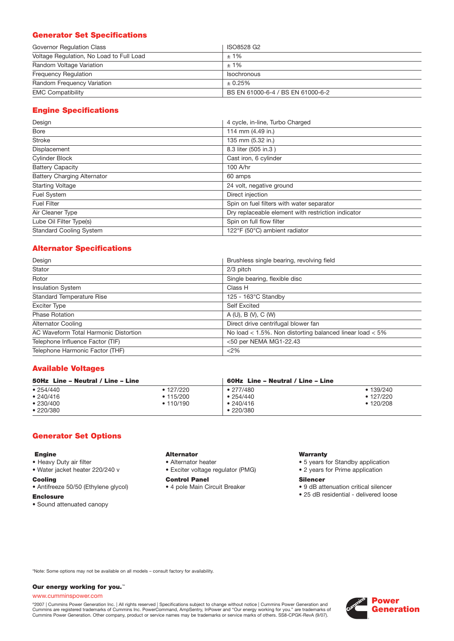# **Generator Set Specifications**

| Governor Regulation Class                | ISO8528 G2                        |
|------------------------------------------|-----------------------------------|
| Voltage Regulation, No Load to Full Load | $±1\%$                            |
| Random Voltage Variation                 | $±1\%$                            |
| <b>Frequency Requiation</b>              | Isochronous                       |
| Random Frequency Variation               | ± 0.25%                           |
| <b>EMC Compatibility</b>                 | BS EN 61000-6-4 / BS EN 61000-6-2 |

# **Engine Specifications**

| Design                             | 4 cycle, in-line, Turbo Charged                    |
|------------------------------------|----------------------------------------------------|
| <b>Bore</b>                        | 114 mm (4.49 in.)                                  |
| <b>Stroke</b>                      | 135 mm (5.32 in.)                                  |
| Displacement                       | 8.3 liter (505 in.3)                               |
| <b>Cylinder Block</b>              | Cast iron, 6 cylinder                              |
| <b>Battery Capacity</b>            | 100 A/hr                                           |
| <b>Battery Charging Alternator</b> | 60 amps                                            |
| <b>Starting Voltage</b>            | 24 volt, negative ground                           |
| Fuel System                        | Direct injection                                   |
| <b>Fuel Filter</b>                 | Spin on fuel filters with water separator          |
| Air Cleaner Type                   | Dry replaceable element with restriction indicator |
| Lube Oil Filter Type(s)            | Spin on full flow filter                           |
| <b>Standard Cooling System</b>     | 122°F (50°C) ambient radiator                      |

## **Alternator Specifications**

| Design                                | Brushless single bearing, revolving field                    |
|---------------------------------------|--------------------------------------------------------------|
| Stator                                | 2/3 pitch                                                    |
| Rotor                                 | Single bearing, flexible disc                                |
| <b>Insulation System</b>              | Class H                                                      |
| <b>Standard Temperature Rise</b>      | $125 - 163^{\circ}$ C Standby                                |
| <b>Exciter Type</b>                   | <b>Self Excited</b>                                          |
| <b>Phase Rotation</b>                 | A(U), B(V), C(W)                                             |
| <b>Alternator Cooling</b>             | Direct drive centrifugal blower fan                          |
| AC Waveform Total Harmonic Distortion | No load $<$ 1.5%. Non distorting balanced linear load $<$ 5% |
| Telephone Influence Factor (TIF)      | <50 per NEMA MG1-22.43                                       |
| Telephone Harmonic Factor (THF)       | <2%                                                          |

## **Available Voltages**

| 50Hz Line - Neutral / Line - Line              |                                                 | 60Hz Line – Neutral / Line – Line                            |                                                   |  |
|------------------------------------------------|-------------------------------------------------|--------------------------------------------------------------|---------------------------------------------------|--|
| • 254/440<br>• 240/416<br>•230/400<br>•220/380 | $\cdot$ 127/220<br>$\cdot$ 115/200<br>• 110/190 | $\bullet$ 277/480<br>•254/440<br>•240/416<br>$\cdot$ 220/380 | • 139/240<br>$\bullet$ 127/220<br>$\cdot$ 120/208 |  |

## **Generator Set Options**

#### **Engine**

- Heavy Duty air filter
- Water jacket heater 220/240 v

#### **Cooling**

- Antifreeze 50/50 (Ethylene glycol)
- **Enclosure**
- Sound attenuated canopy

# **Alternator**

• Alternator heater • Exciter voltage regulator (PMG)

#### **Control Panel**

• 4 pole Main Circuit Breaker

#### **Warranty**

- 5 years for Standby application
- 2 years for Prime application

#### **Silencer**

- 9 dB attenuation critical silencer
- 25 dB residential delivered loose

\*Note: Some options may not be available on all models – consult factory for availability.

#### **Our energy working for you.**™

#### www.cumminspower.com

°2007 | Cummins Power Generation Inc. | All rights reserved | Specifications subject to change without notice | Cummins Power Generation and<br>Cummins are registered trademarks of Cummins Inc. PowerCommand, AmpSentry, InPow

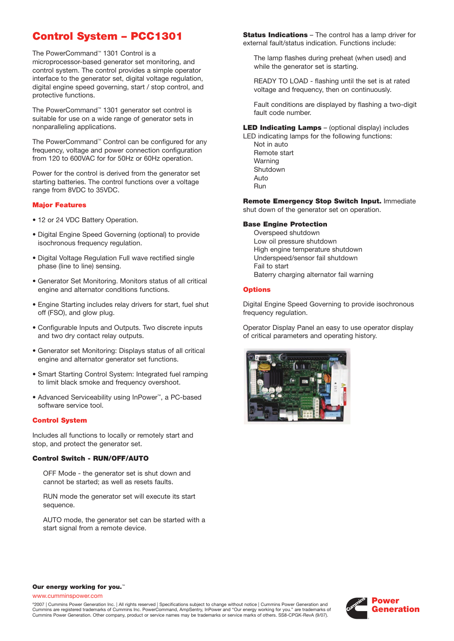# **Control System – PCC1301**

The PowerCommand™ 1301 Control is a microprocessor-based generator set monitoring, and control system. The control provides a simple operator interface to the generator set, digital voltage regulation, digital engine speed governing, start / stop control, and protective functions.

The PowerCommand™ 1301 generator set control is suitable for use on a wide range of generator sets in nonparalleling applications.

The PowerCommand™ Control can be configured for any frequency, voltage and power connection configuration from 120 to 600VAC for for 50Hz or 60Hz operation.

Power for the control is derived from the generator set starting batteries. The control functions over a voltage range from 8VDC to 35VDC.

#### **Major Features**

- 12 or 24 VDC Battery Operation.
- Digital Engine Speed Governing (optional) to provide isochronous frequency regulation.
- Digital Voltage Regulation Full wave rectified single phase (line to line) sensing.
- Generator Set Monitoring. Monitors status of all critical engine and alternator conditions functions.
- Engine Starting includes relay drivers for start, fuel shut off (FSO), and glow plug.
- Configurable Inputs and Outputs. Two discrete inputs and two dry contact relay outputs.
- Generator set Monitoring: Displays status of all critical engine and alternator generator set functions.
- Smart Starting Control System: Integrated fuel ramping to limit black smoke and frequency overshoot.
- Advanced Serviceability using InPower™, a PC-based software service tool.

#### **Control System**

Includes all functions to locally or remotely start and stop, and protect the generator set.

#### **Control Switch - RUN/OFF/AUTO**

OFF Mode - the generator set is shut down and cannot be started; as well as resets faults.

RUN mode the generator set will execute its start sequence.

AUTO mode, the generator set can be started with a start signal from a remote device.

**Status Indications** – The control has a lamp driver for external fault/status indication. Functions include:

The lamp flashes during preheat (when used) and while the generator set is starting.

READY TO LOAD - flashing until the set is at rated voltage and frequency, then on continuously.

Fault conditions are displayed by flashing a two-digit fault code number.

**LED Indicating Lamps** – (optional display) includes

LED indicating lamps for the following functions: Not in auto Remote start Warning Shutdown Auto Run

**Remote Emergency Stop Switch Input.** Immediate shut down of the generator set on operation.

#### **Base Engine Protection**

Overspeed shutdown Low oil pressure shutdown High engine temperature shutdown Underspeed/sensor fail shutdown Fail to start Baterry charging alternator fail warning

#### **Options**

Digital Engine Speed Governing to provide isochronous frequency regulation.

Operator Display Panel an easy to use operator display of critical parameters and operating history.



#### **Our energy working for you.**™

www.cumminspower.com

©2007 | Cummins Power Generation Inc. | All rights reserved | Specifications subject to change without notice | Cummins Power Generation and Cummins are registered trademarks of Cummins Inc. PowerCommand, AmpSentry, InPower and "Our energy working for you." are trademarks of Cummins Power Generation. Other company, product or service names may be trademarks or service marks of others. SS8-CPGK-RevA (9/07).